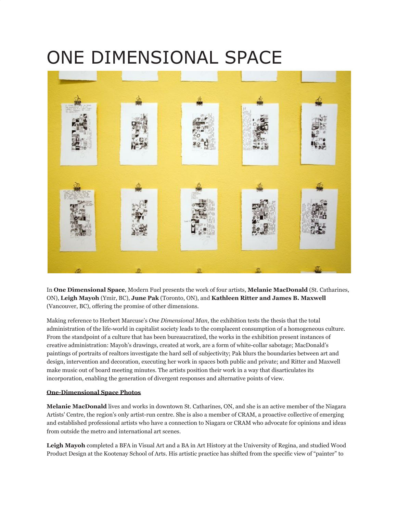## ONE DIMENSIONAL SPACE



In **One Dimensional Space**, Modern Fuel presents the work of four artists, **Melanie MacDonald** (St. Catharines, ON), **Leigh Mayoh** (Ymir, BC), **June Pak** (Toronto, ON), and **Kathleen Ritter and James B. Maxwell** (Vancouver, BC), offering the promise of other dimensions.

Making reference to Herbert Marcuse's *One Dimensional Man*, the exhibition tests the thesis that the total administration of the life-world in capitalist society leads to the complacent consumption of a homogeneous culture. From the standpoint of a culture that has been bureaucratized, the works in the exhibition present instances of creative administration: Mayoh's drawings, created at work, are a form of white-collar sabotage; MacDonald's paintings of portraits of realtors investigate the hard sell of subjectivity; Pak blurs the boundaries between art and design, intervention and decoration, executing her work in spaces both public and private; and Ritter and Maxwell make music out of board meeting minutes. The artists position their work in a way that disarticulates its incorporation, enabling the generation of divergent responses and alternative points of view.

## **[One-Dimensional Space Photos](http://www.flickr.com/photos/modernfuel/sets/72157606560795889/)**

**Melanie MacDonald** lives and works in downtown St. Catharines, ON, and she is an active member of the Niagara Artists' Centre, the region's only artist-run centre. She is also a member of CRAM, a proactive collective of emerging and established professional artists who have a connection to Niagara or CRAM who advocate for opinions and ideas from outside the metro and international art scenes.

**Leigh Mayoh** completed a BFA in Visual Art and a BA in Art History at the University of Regina, and studied Wood Product Design at the Kootenay School of Arts. His artistic practice has shifted from the specific view of "painter" to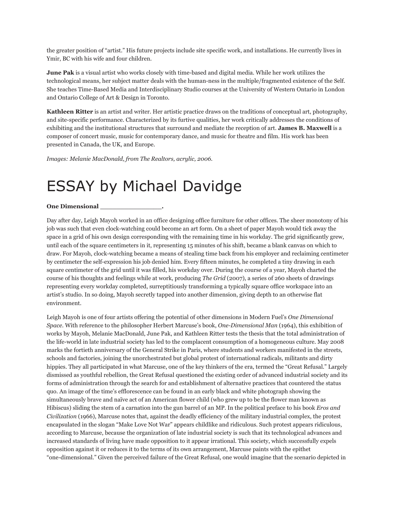the greater position of "artist." His future projects include site specific work, and installations. He currently lives in Ymir, BC with his wife and four children.

**June Pak** is a visual artist who works closely with time-based and digital media. While her work utilizes the technological means, her subject matter deals with the human-ness in the multiple/fragmented existence of the Self. She teaches Time-Based Media and Interdisciplinary Studio courses at the University of Western Ontario in London and Ontario College of Art & Design in Toronto.

**Kathleen Ritter** is an artist and writer. Her artistic practice draws on the traditions of conceptual art, photography, and site-specific performance. Characterized by its furtive qualities, her work critically addresses the conditions of exhibiting and the institutional structures that surround and mediate the reception of art. **James B. Maxwell** is a composer of concert music, music for contemporary dance, and music for theatre and film. His work has been presented in Canada, the UK, and Europe.

*Images: Melanie MacDonald, from The Realtors, acrylic, 2006.*

## ESSAY by Michael Davidge

## **One Dimensional \_\_\_\_\_\_\_\_\_\_\_\_\_\_\_.**

Day after day, Leigh Mayoh worked in an office designing office furniture for other offices. The sheer monotony of his job was such that even clock-watching could become an art form. On a sheet of paper Mayoh would tick away the space in a grid of his own design corresponding with the remaining time in his workday. The grid significantly grew, until each of the square centimeters in it, representing 15 minutes of his shift, became a blank canvas on which to draw. For Mayoh, clock-watching became a means of stealing time back from his employer and reclaiming centimeter by centimeter the self-expression his job denied him. Every fifteen minutes, he completed a tiny drawing in each square centimeter of the grid until it was filled, his workday over. During the course of a year, Mayoh charted the course of his thoughts and feelings while at work, producing *The Grid* (2007), a series of 260 sheets of drawings representing every workday completed, surreptitiously transforming a typically square office workspace into an artist's studio. In so doing, Mayoh secretly tapped into another dimension, giving depth to an otherwise flat environment.

Leigh Mayoh is one of four artists offering the potential of other dimensions in Modern Fuel's *One Dimensional Space*. With reference to the philosopher Herbert Marcuse's book, *One-Dimensional Man* (1964), this exhibition of works by Mayoh, Melanie MacDonald, June Pak, and Kathleen Ritter tests the thesis that the total administration of the life-world in late industrial society has led to the complacent consumption of a homogeneous culture. May 2008 marks the fortieth anniversary of the General Strike in Paris, where students and workers manifested in the streets, schools and factories, joining the unorchestrated but global protest of international radicals, militants and dirty hippies. They all participated in what Marcuse, one of the key thinkers of the era, termed the "Great Refusal." Largely dismissed as youthful rebellion, the Great Refusal questioned the existing order of advanced industrial society and its forms of administration through the search for and establishment of alternative practices that countered the status quo. An image of the time's efflorescence can be found in an early black and white photograph showing the simultaneously brave and naïve act of an American flower child (who grew up to be the flower man known as Hibiscus) sliding the stem of a carnation into the gun barrel of an MP. In the political preface to his book *Eros and Civilization* (1966), Marcuse notes that, against the deadly efficiency of the military industrial complex, the protest encapsulated in the slogan "Make Love Not War" appears childlike and ridiculous. Such protest appears ridiculous, according to Marcuse, because the organization of late industrial society is such that its technological advances and increased standards of living have made opposition to it appear irrational. This society, which successfully expels opposition against it or reduces it to the terms of its own arrangement, Marcuse paints with the epithet "one-dimensional." Given the perceived failure of the Great Refusal, one would imagine that the scenario depicted in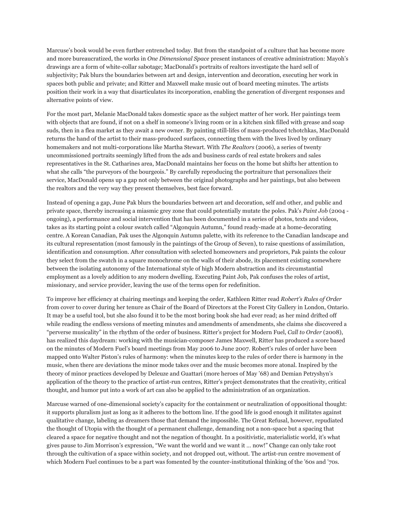Marcuse's book would be even further entrenched today. But from the standpoint of a culture that has become more and more bureaucratized, the works in *One Dimensional Space* present instances of creative administration: Mayoh's drawings are a form of white-collar sabotage; MacDonald's portraits of realtors investigate the hard sell of subjectivity; Pak blurs the boundaries between art and design, intervention and decoration, executing her work in spaces both public and private; and Ritter and Maxwell make music out of board meeting minutes. The artists position their work in a way that disarticulates its incorporation, enabling the generation of divergent responses and alternative points of view.

For the most part, Melanie MacDonald takes domestic space as the subject matter of her work. Her paintings teem with objects that are found, if not on a shelf in someone's living room or in a kitchen sink filled with grease and soap suds, then in a flea market as they await a new owner. By painting still-lifes of mass-produced tchotchkas, MacDonald returns the hand of the artist to their mass-produced surfaces, connecting them with the lives lived by ordinary homemakers and not multi-corporations like Martha Stewart. With *The Realtors* (2006), a series of twenty uncommissioned portraits seemingly lifted from the ads and business cards of real estate brokers and sales representatives in the St. Catharines area, MacDonald maintains her focus on the home but shifts her attention to what she calls "the purveyors of the bourgeois." By carefully reproducing the portraiture that personalizes their service, MacDonald opens up a gap not only between the original photographs and her paintings, but also between the realtors and the very way they present themselves, best face forward.

Instead of opening a gap, June Pak blurs the boundaries between art and decoration, self and other, and public and private space, thereby increasing a miasmic grey zone that could potentially mutate the poles. Pak's *Paint Job* (2004 ongoing), a performance and social intervention that has been documented in a series of photos, texts and videos, takes as its starting point a colour swatch called "Algonquin Autumn," found ready-made at a home-decorating centre. A Korean Canadian, Pak uses the Algonquin Autumn palette, with its reference to the Canadian landscape and its cultural representation (most famously in the paintings of the Group of Seven), to raise questions of assimilation, identification and consumption. After consultation with selected homeowners and proprietors, Pak paints the colour they select from the swatch in a square monochrome on the walls of their abode, its placement existing somewhere between the isolating autonomy of the International style of high Modern abstraction and its circumstantial employment as a lovely addition to any modern dwelling. Executing Paint Job, Pak confuses the roles of artist, missionary, and service provider, leaving the use of the terms open for redefinition.

To improve her efficiency at chairing meetings and keeping the order, Kathleen Ritter read *Robert's Rules of Order* from cover to cover during her tenure as Chair of the Board of Directors at the Forest City Gallery in London, Ontario. It may be a useful tool, but she also found it to be the most boring book she had ever read; as her mind drifted off while reading the endless versions of meeting minutes and amendments of amendments, she claims she discovered a "perverse musicality" in the rhythm of the order of business. Ritter's project for Modern Fuel, *Call to Order* (2008), has realized this daydream: working with the musician-composer James Maxwell, Ritter has produced a score based on the minutes of Modern Fuel's board meetings from May 2006 to June 2007. Robert's rules of order have been mapped onto Walter Piston's rules of harmony: when the minutes keep to the rules of order there is harmony in the music, when there are deviations the minor mode takes over and the music becomes more atonal. Inspired by the theory of minor practices developed by Deleuze and Guattari (more heroes of May '68) and Demian Petryshyn's application of the theory to the practice of artist-run centres, Ritter's project demonstrates that the creativity, critical thought, and humor put into a work of art can also be applied to the administration of an organization.

Marcuse warned of one-dimensional society's capacity for the containment or neutralization of oppositional thought: it supports pluralism just as long as it adheres to the bottom line. If the good life is good enough it militates against qualitative change, labeling as dreamers those that demand the impossible. The Great Refusal, however, repudiated the thought of Utopia with the thought of a permanent challenge, demanding not a non-space but a spacing that cleared a space for negative thought and not the negation of thought. In a positivistic, materialistic world, it's what gives pause to Jim Morrison's expression, "We want the world and we want it … now!" Change can only take root through the cultivation of a space within society, and not dropped out, without. The artist-run centre movement of which Modern Fuel continues to be a part was fomented by the counter-institutional thinking of the '60s and '70s.